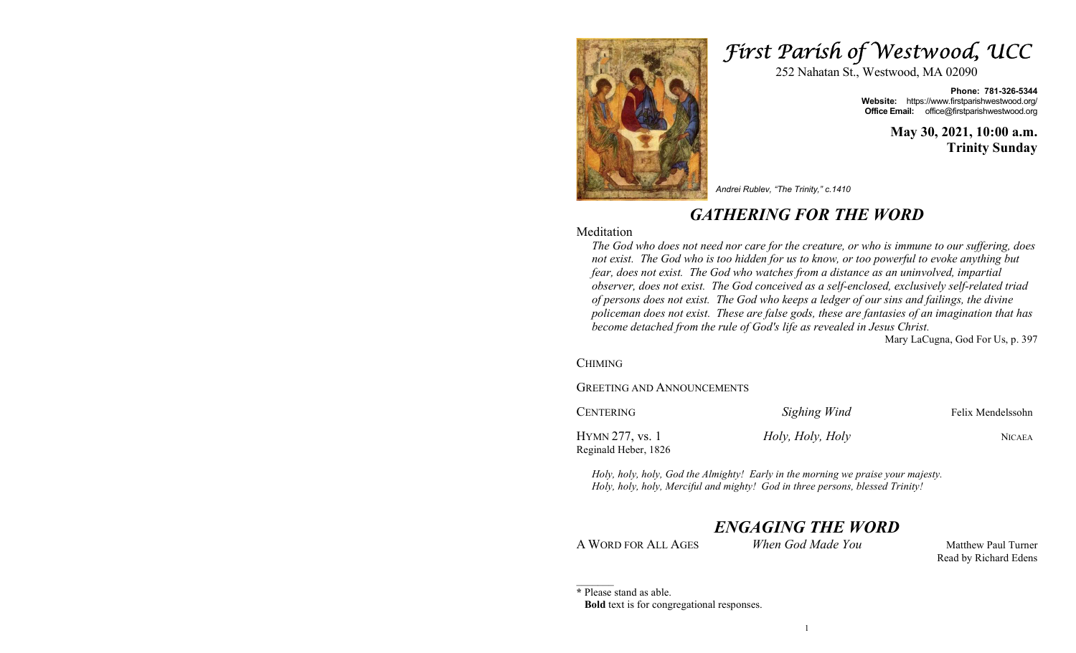

# First Parish of Westwood, UCC

252 Nahatan St., Westwood, MA 02090

Phone: 781-326-5344 Website: https://www.firstparishwestwood.org/ **Office Email:** office@firstparishwestwood.org

> May 30, 2021, 10:00 a.m. Trinity Sunday

Andrei Rublev, "The Trinity," c.1410

## GATHERING FOR THE WORD

### Meditation

The God who does not need nor care for the creature, or who is immune to our suffering, does not exist. The God who is too hidden for us to know, or too powerful to evoke anything but fear, does not exist. The God who watches from a distance as an uninvolved, impartial observer, does not exist. The God conceived as a self-enclosed, exclusively self-related triad of persons does not exist. The God who keeps a ledger of our sins and failings, the divine policeman does not exist. These are false gods, these are fantasies of an imagination that has become detached from the rule of God's life as revealed in Jesus Christ.

Mary LaCugna, God For Us, p. 397

CHIMING

GREETING AND ANNOUNCEMENTS

| CENTERING                               | Sighing Wind     | Felix Mendelssohn |
|-----------------------------------------|------------------|-------------------|
| Hymn 277, vs. 1<br>Reginald Heber, 1826 | Holy, Holy, Holy | <b>NICAEA</b>     |

Holy, holy, holy, God the Almighty! Early in the morning we praise your majesty. Holy, holy, holy, Merciful and mighty! God in three persons, blessed Trinity!

## ENGAGING THE WORD

A WORD FOR ALL AGES When God Made You Matthew Paul Turner

Read by Richard Edens

\* Please stand as able.

 $\mathcal{L}=\mathcal{L}$ 

Bold text is for congregational responses.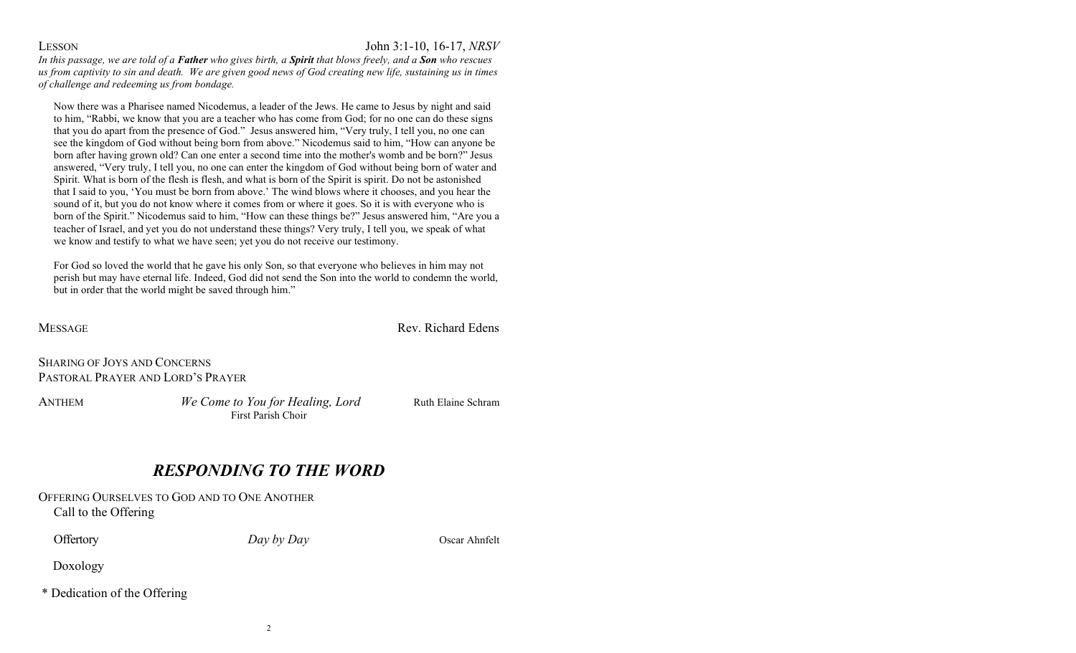#### LESSON John 3:1-10, 16-17, NRSV

In this passage, we are told of a **Father** who gives birth, a **Spirit** that blows freely, and a **Son** who rescues us from captivity to sin and death. We are given good news of God creating new life, sustaining us in times of challenge and redeeming us from bondage.

Now there was a Pharisee named Nicodemus, a leader of the Jews. He came to Jesus by night and said to him, "Rabbi, we know that you are a teacher who has come from God; for no one can do these signs that you do apart from the presence of God." Jesus answered him, "Very truly, I tell you, no one can see the kingdom of God without being born from above." Nicodemus said to him, "How can anyone be born after having grown old? Can one enter a second time into the mother's womb and be born?" Jesus answered, "Very truly, I tell you, no one can enter the kingdom of God without being born of water and Spirit. What is born of the flesh is flesh, and what is born of the Spirit is spirit. Do not be astonished that I said to you, 'You must be born from above.' The wind blows where it chooses, and you hear the sound of it, but you do not know where it comes from or where it goes. So it is with everyone who is born of the Spirit." Nicodemus said to him, "How can these things be?" Jesus answered him, "Are you a teacher of Israel, and yet you do not understand these things? Very truly, I tell you, we speak of what we know and testify to what we have seen; yet you do not receive our testimony.

For God so loved the world that he gave his only Son, so that everyone who believes in him may not perish but may have eternal life. Indeed, God did not send the Son into the world to condemn the world, but in order that the world might be saved through him."

MESSAGE Rev. Richard Edens

SHARING OF JOYS AND CONCERNS PASTORAL PRAYER AND LORD'S PRAYER

ANTHEM We Come to You for Healing, Lord Ruth Elaine Schram First Parish Choir

## RESPONDING TO THE WORD

OFFERING OURSELVES TO GOD AND TO ONE ANOTHER Call to the Offering

Offertory Day by Day Coscar Ahnfelt

Doxology

\* Dedication of the Offering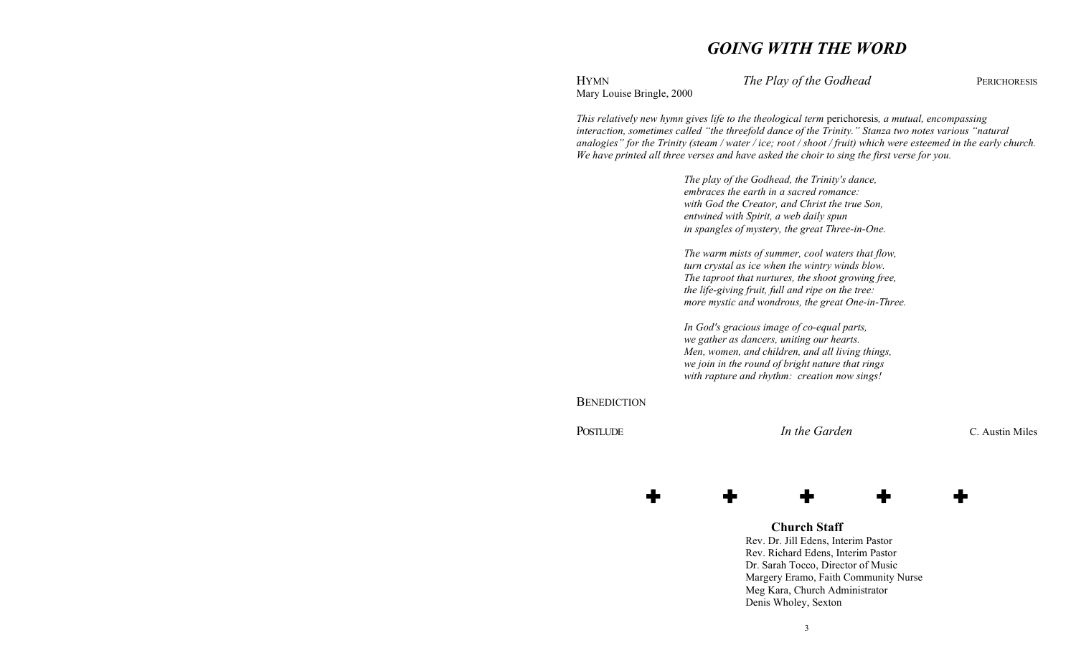## GOING WITH THE WORD

Mary Louise Bringle, 2000

HYMN The Play of the Godhead PERICHORESIS

This relatively new hymn gives life to the theological term perichoresis, a mutual, encompassing interaction, sometimes called "the threefold dance of the Trinity." Stanza two notes various "natural analogies" for the Trinity (steam / water / ice; root / shoot / fruit) which were esteemed in the early church. We have printed all three verses and have asked the choir to sing the first verse for you.

> The play of the Godhead, the Trinity's dance, embraces the earth in a sacred romance: with God the Creator, and Christ the true Son, entwined with Spirit, a web daily spun in spangles of mystery, the great Three-in-One.

The warm mists of summer, cool waters that flow, turn crystal as ice when the wintry winds blow. The taproot that nurtures, the shoot growing free, the life-giving fruit, full and ripe on the tree: more mystic and wondrous, the great One-in-Three.

In God's gracious image of co-equal parts, we gather as dancers, uniting our hearts. Men, women, and children, and all living things, we join in the round of bright nature that rings with rapture and rhythm: creation now sings!

#### **BENEDICTION**

POSTLUDE *In the Garden* C. Austin Miles

## . . . . .

#### Church Staff Rev. Dr. Jill Edens, Interim Pastor Rev. Richard Edens, Interim Pastor Dr. Sarah Tocco, Director of Music Margery Eramo, Faith Community Nurse Meg Kara, Church Administrator Denis Wholey, Sexton